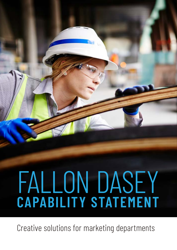# FALLON DASEY **CAPABILITY STATEMENT**

Creative solutions for marketing departments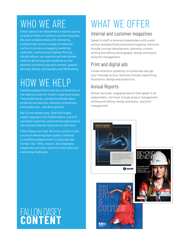### WHO WE ARE

Fallon Dasey is an independent creative agency located at Manly on Sydney's northern beaches. We work collaboratively with marketing professionals across a range of industrial sectors to produce engaging marketing materials. Led by former Sydney Morning Herald editors, our experienced team prides itself on delivering high standards across domains including copy and content, graphic and web design, photography and filmmaking.

## HOW WE HELP

Marketing departments are the cornerstone of the sales process for modern large businesses. They build brands, spread knowledge about products and services, develop connections with audiences – and drive growth.

But it's not always easy. Staff shortages, urgent requests from stakeholders, a lack of specialist expertise, and looming major events can all push internal resources to their limit.

Fallon Dasey can help. We have a proven track record of delivering high-quality collateral to marketing departments in Australia and Europe. Our films, reports, ad campaigns, magazines and other solutions help solve your marketing challenges.

## FALLON DASEY<br>CONTENT

## WHAT WE OFFER

#### Internal and customer magazines

Speak to staff or external stakeholders with a wellwritten and beautifully presented magazine. Services include concept development, planning, content writing and editing, photography, design and layout, and print management.

#### Print and digital ads

Create attention-grabbing, on-brand ads that get your message across. Services include copywriting, illustration, design and production.

#### Annual Reports

Deliver accurate, engaging reports that speak to all stakeholders. Services include project management, writing and editing, design and layout, and print management.





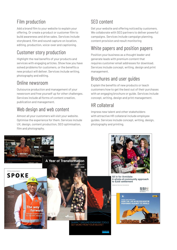#### Film production

Add a brand film to your website to explain your offering. Or create a product or customer film to build awareness and drive sales. Services include storyboard, film and sound capture on location, editing, production, voice-over and captioning.

#### Customer story production

Highlight the real benefits of your products and services with engaging articles. Show how you have solved problems for customers, or the benefits a new product will deliver. Services include writing, photography and editing.

#### Online newsroom

Outsource production and management of your newsroom and free yourself up for other challenges. Services include all forms of content creation, publication and management.

#### Web design and web content

Almost all your customers will visit your website. Optimise the experience for them. Services include UX, design, content production, SEO optimisation, film and photography.

#### SEO content

Get your website and offering noticed by customers. We collaborate with SEO partners to deliver powerful campaigns. Services include campaign planning, content provision and result monitoring

#### White papers and position papers

Position your business as a thought leader and generate leads with premium content that requires customer email addresses for download. Services include concept, writing, design and print management.

#### Brochures and user guides

Explain the benefits of new products or teach customers how to get the best out of their purchases with an engaging brochure or guide. Services include concept, writing, design and print management.

#### HR collateral

Impress new talent and other stakeholders with attractive HR collateral include employee guides. Services include concept, writing, design, photography and printing.